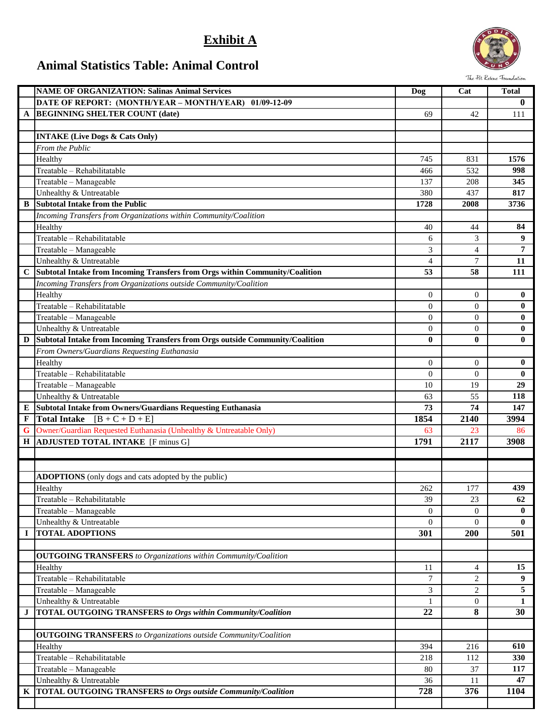## **Exhibit A**



## **Animal Statistics Table: Animal Control**

|             | <b>NAME OF ORGANIZATION: Salinas Animal Services</b>                          |                | Cat            | <b>Total</b>   |
|-------------|-------------------------------------------------------------------------------|----------------|----------------|----------------|
|             |                                                                               | Dog            |                |                |
|             | DATE OF REPORT: (MONTH/YEAR - MONTH/YEAR)<br>$01/09 - 12 - 09$                |                |                | $\bf{0}$       |
| A           | <b>BEGINNING SHELTER COUNT (date)</b>                                         | 69             | 42             | 111            |
|             |                                                                               |                |                |                |
|             | <b>INTAKE (Live Dogs &amp; Cats Only)</b>                                     |                |                |                |
|             | <b>From the Public</b>                                                        |                |                |                |
|             | Healthy                                                                       | 745            | 831            | 1576           |
|             | Treatable - Rehabilitatable                                                   | 466            | 532            | 998            |
|             | Treatable - Manageable                                                        | 137            | 208            | 345            |
|             | Unhealthy & Untreatable                                                       | 380            | 437            | 817            |
| B           | <b>Subtotal Intake from the Public</b>                                        | 1728           | 2008           | 3736           |
|             | Incoming Transfers from Organizations within Community/Coalition              |                |                |                |
|             | Healthy                                                                       | 40             | 44             | 84             |
|             | Treatable - Rehabilitatable                                                   | 6              | 3              | 9              |
|             | Treatable - Manageable                                                        | 3              | $\overline{4}$ | $\overline{7}$ |
|             | Unhealthy & Untreatable                                                       | $\overline{4}$ | $\overline{7}$ | 11             |
| $\bf C$     | Subtotal Intake from Incoming Transfers from Orgs within Community/Coalition  | 53             | 58             | 111            |
|             | Incoming Transfers from Organizations outside Community/Coalition             |                |                |                |
|             | Healthy                                                                       | $\overline{0}$ | $\mathbf{0}$   | $\bf{0}$       |
|             | Treatable - Rehabilitatable                                                   | $\Omega$       | $\Omega$       | $\bf{0}$       |
|             | Treatable - Manageable                                                        | $\Omega$       | $\mathbf{0}$   | $\bf{0}$       |
|             | Unhealthy & Untreatable                                                       | $\overline{0}$ | $\mathbf{0}$   | $\bf{0}$       |
| D           | Subtotal Intake from Incoming Transfers from Orgs outside Community/Coalition | $\bf{0}$       | $\mathbf{0}$   | $\bf{0}$       |
|             | From Owners/Guardians Requesting Euthanasia                                   |                |                |                |
|             | Healthy                                                                       | $\overline{0}$ | $\mathbf{0}$   | $\bf{0}$       |
|             | Treatable - Rehabilitatable                                                   | $\Omega$       | $\Omega$       | $\bf{0}$       |
|             | Treatable - Manageable                                                        | 10             | 19             | 29             |
|             | Unhealthy & Untreatable                                                       | 63             | 55             | 118            |
| Е           | Subtotal Intake from Owners/Guardians Requesting Euthanasia                   | 73             | 74             | 147            |
| F           | <b>Total Intake</b><br>$[B + C + D + E]$                                      | 1854           | 2140           | 3994           |
| G           | Owner/Guardian Requested Euthanasia (Unhealthy & Untreatable Only)            | 63             | 23             | 86             |
| $\mathbf H$ | <b>ADJUSTED TOTAL INTAKE</b> [F minus G]                                      | 1791           | 2117           | 3908           |
|             |                                                                               |                |                |                |
|             |                                                                               |                |                |                |
|             | <b>ADOPTIONS</b> (only dogs and cats adopted by the public)                   |                |                |                |
|             | Healthy                                                                       | 262            | 177            | 439            |
|             | Treatable - Rehabilitatable                                                   | 39             | 23             | 62             |
|             | Treatable - Manageable                                                        | $\mathbf{0}$   | $\overline{0}$ | $\bf{0}$       |
|             | Unhealthy & Untreatable                                                       | $\overline{0}$ | $\mathbf{0}$   | $\bf{0}$       |
| $\bf{I}$    | <b>TOTAL ADOPTIONS</b>                                                        | 301            | <b>200</b>     | 501            |
|             |                                                                               |                |                |                |
|             | <b>OUTGOING TRANSFERS</b> to Organizations within Community/Coalition         |                |                |                |
|             | Healthy                                                                       | 11             | 4              | 15             |
|             | Treatable - Rehabilitatable                                                   | $\overline{7}$ | 2              | 9              |
|             | Treatable - Manageable                                                        | 3              | 2              | 5              |
|             | Unhealthy & Untreatable                                                       | 1              | $\mathbf{0}$   | 1              |
| $\bf J$     | TOTAL OUTGOING TRANSFERS to Orgs within Community/Coalition                   | 22             | 8              | 30             |
|             |                                                                               |                |                |                |
|             | <b>OUTGOING TRANSFERS</b> to Organizations outside Community/Coalition        |                |                |                |
|             | Healthy                                                                       | 394            | 216            | 610            |
|             | Treatable - Rehabilitatable                                                   | 218            | 112            | 330            |
|             | Treatable - Manageable                                                        | 80             | 37             | 117            |
|             | Unhealthy & Untreatable                                                       | 36             | 11             | 47             |
| K           | <b>TOTAL OUTGOING TRANSFERS to Orgs outside Community/Coalition</b>           | 728            | 376            | 1104           |
|             |                                                                               |                |                |                |